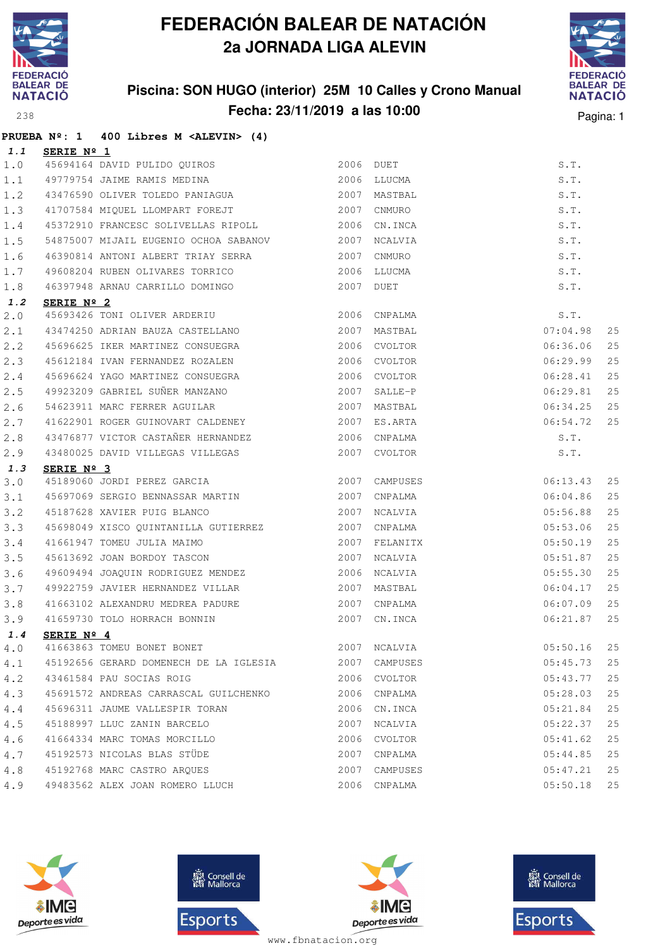

**PRUEBA Nº: 1 400 Libres M <ALEVIN> (4)**

## **FEDERACIÓN BALEAR DE NATACIÓN 2a JORNADA LIGA ALEVIN**

## **Piscina: SON HUGO (interior) 25M 10 Calles y Crono Manual Fecha: 23/11/2019 a las 10:00**<sup>238</sup> Pagina: 1



| 1.1        | SERIE Nº 1                                                                                 |      |              |               |    |
|------------|--------------------------------------------------------------------------------------------|------|--------------|---------------|----|
| $1.0$      | 45694164 DAVID PULIDO QUIROS (2006) 2006 DUET<br>49779754 JAIME RAMIS MEDINA (2006) LLUCMA |      |              | S.T.          |    |
| 1.1        |                                                                                            |      |              | S.T.          |    |
| 1.2        | 43476590 OLIVER TOLEDO PANIAGUA 1999 1999 2007 MASTBAL                                     |      |              | S.T.          |    |
| 1.3        | 41707584 MIQUEL LLOMPART FOREJT 2007 CNMURO                                                |      |              | S.T.          |    |
| $1.4$      | 45372910 FRANCESC SOLIVELLAS RIPOLL 2006 CN.INCA                                           |      |              | S.T.          |    |
| 1.5        | 54875007 MIJAIL EUGENIO OCHOA SABANOV 2007                                                 |      | NCALVIA      | S.T.          |    |
| 1.6        | 46390814 ANTONI ALBERT TRIAY SERRA 2007 CNMURO                                             |      |              | S.T.          |    |
| 1.7        | 49608204 RUBEN OLIVARES TORRICO<br>2006 LLUCMA                                             |      |              | S.T.          |    |
| 1.8        |                                                                                            |      |              | S.T.          |    |
| 1.2        | SERIE Nº 2                                                                                 |      |              |               |    |
| 2.0        |                                                                                            |      |              | S.T.          |    |
| 2.1        |                                                                                            |      |              | 07:04.98      | 25 |
| 2.2        | 45696625 IKER MARTINEZ CONSUEGRA 2006 CVOLTOR                                              |      |              | 06:36.06      | 25 |
| 2.3        | 45612184 IVAN FERNANDEZ ROZALEN 2006 CVOLTOR                                               |      |              | 06:29.99      | 25 |
| 2.4        | 45696624 YAGO MARTINEZ CONSUEGRA 2006 CVOLTOR                                              |      |              | 06:28.41      | 25 |
| 2.5        | 49923209 GABRIEL SUÑER MANZANO $2007$ SALLE-P                                              |      |              | 06:29.81      | 25 |
| 2.6        | 54623911 MARC FERRER AGUILAR 2007 MASTBAL                                                  |      |              | 06:34.25      | 25 |
| 2.7        | 41622901 ROGER GUINOVART CALDENEY 2007 ES.ARTA                                             |      | 06:54.72     |               | 25 |
| 2.8        | 43476877 VICTOR CASTAÑER HERNANDEZ 2006 CNPALMA                                            |      |              | S.T.          |    |
| 2.9        | 43480025 DAVID VILLEGAS VILLEGAS 2007 CVOLTOR                                              |      |              | S.T.          |    |
| 1.3        | SERIE $N^{\circ}$ 3                                                                        |      |              |               |    |
| 3.0        | 45189060 JORDI PEREZ GARCIA 60 2007 CAMPUSES                                               |      |              | 06:13.43      | 25 |
| 3.1        | 45697069 SERGIO BENNASSAR MARTIN 2007                                                      |      | CNPALMA      | 06:04.86      | 25 |
| 3.2        | 45187628 XAVIER PUIG BLANCO                                                                |      | 2007 NCALVIA | 05:56.88      | 25 |
| 3.3        | 45698049 XISCO QUINTANILLA GUTIERREZ 2007 CNPALMA                                          |      |              | 05:53.06      | 25 |
| 3.4        | 2007 FELANITX<br>41661947 TOMEU JULIA MAIMO                                                |      |              | 05:50.19      | 25 |
| 3.5        | 45613692 JOAN BORDOY TASCON 2007 NCALVIA                                                   |      |              | 05:51.87      | 25 |
| 3.6        | 49609494 JOAQUIN RODRIGUEZ MENDEZ                                                          |      | 2006 NCALVIA | 05:55.30      | 25 |
| 3.7        | 49922759 JAVIER HERNANDEZ VILLAR 2007 MASTBAL                                              |      |              | 06:04.17      | 25 |
| 3.8        | 41663102 ALEXANDRU MEDREA PADURE 2007 CNPALMA                                              |      |              | 06:07.09      | 25 |
| 3.9        | 41659730 TOLO HORRACH BONNIN                                                               |      | 2007 CN.INCA | 06:21.87      | 25 |
| 1.4        | SERIE $N^{\circ}$ 4                                                                        |      |              |               |    |
| $4\cdot 0$ | 41663863 TOMEU BONET BONET NO SAN SERIES 2007 NCALVIA                                      |      |              | $05:50.16$ 25 |    |
| 4.1        | 45192656 GERARD DOMENECH DE LA IGLESIA                                                     | 2007 | CAMPUSES     | 05:45.73      | 25 |
| 4.2        | 43461584 PAU SOCIAS ROIG                                                                   | 2006 | CVOLTOR      | 05:43.77      | 25 |
| 4.3        | 45691572 ANDREAS CARRASCAL GUILCHENKO                                                      |      | 2006 CNPALMA | 05:28.03      | 25 |
| 4.4        | 45696311 JAUME VALLESPIR TORAN                                                             | 2006 | CN.INCA      | 05:21.84      | 25 |
| 4.5        | 45188997 LLUC ZANIN BARCELO                                                                | 2007 | NCALVIA      | 05:22.37      | 25 |
| 4.6        | 41664334 MARC TOMAS MORCILLO                                                               | 2006 | CVOLTOR      | 05:41.62      | 25 |
| 4.7        | 45192573 NICOLAS BLAS STÜDE                                                                | 2007 | CNPALMA      | 05:44.85      | 25 |
| 4.8        | 45192768 MARC CASTRO AROUES                                                                | 2007 | CAMPUSES     | 05:47.21      | 25 |
| 4.9        | 49483562 ALEX JOAN ROMERO LLUCH                                                            | 2006 | CNPALMA      | 05:50.18      | 25 |







**感** Consell de Esports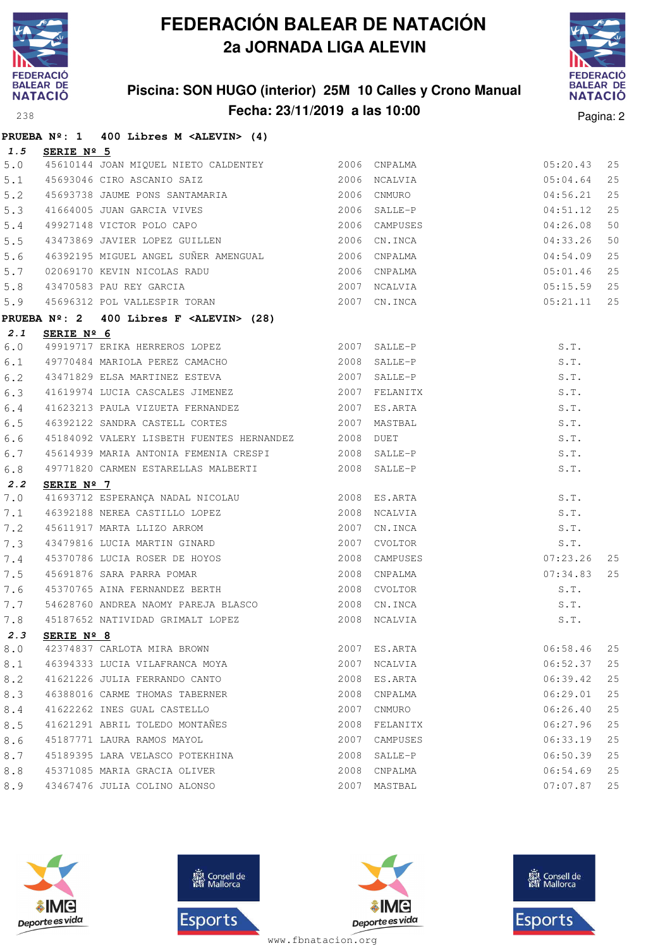

**PRUEBA Nº: 1 400 Libres M <ALEVIN> (4)**

# **FEDERACIÓN BALEAR DE NATACIÓN 2a JORNADA LIGA ALEVIN**

## **Piscina: SON HUGO (interior) 25M 10 Calles y Crono Manual Fecha: 23/11/2019 a las 10:00** Pagina: 2



| 1.5   | SERIE Nº 5          |                                                                                                       |      |               |          |    |
|-------|---------------------|-------------------------------------------------------------------------------------------------------|------|---------------|----------|----|
| $5.0$ |                     | 45610144 JOAN MIQUEL NIETO CALDENTEY 2006 CNPALMA                                                     |      |               | 05:20.43 | 25 |
| 5.1   |                     | 2006 NCALVIA<br>45693046 CIRO ASCANIO SAIZ                                                            |      |               | 05:04.64 | 25 |
| $5.2$ |                     | 45693738 JAUME PONS SANTAMARIA 6 2006 CNMURO                                                          |      |               | 04:56.21 | 25 |
| 5.3   |                     |                                                                                                       |      |               | 04:51.12 | 25 |
| 5.4   |                     | 41664005 JUAN GARCIA VIVES (2006 SALLE-P)<br>49927148 VICTOR POLO CAPO (2006 CAMPUSES (2006 CAMPUSES) |      |               | 04:26.08 | 50 |
| 5.5   |                     | 43473869 JAVIER LOPEZ GUILLEN 2006 CN.INCA                                                            |      |               | 04:33.26 | 50 |
| 5.6   |                     | 46392195 MIGUEL ANGEL SUÑER AMENGUAL 62006 CNPALMA                                                    |      |               | 04:54.09 | 25 |
| 5.7   |                     |                                                                                                       |      | 2006 CNPALMA  | 05:01.46 | 25 |
| $5.8$ |                     |                                                                                                       |      |               | 05:15.59 | 25 |
| 5.9   |                     | 45696312 POL VALLESPIR TORAN 2007 CN.INCA                                                             |      |               | 05:21.11 | 25 |
|       |                     | PRUEBA $N^{\circ}$ : 2 400 Libres F <alevin> (28)</alevin>                                            |      |               |          |    |
| 2.1   | SERIE Nº 6          |                                                                                                       |      |               |          |    |
| 6.0   |                     | 49919717 ERIKA HERREROS LOPEZ 2007 SALLE-P                                                            |      |               | S.T.     |    |
| 6.1   |                     |                                                                                                       |      |               | S.T.     |    |
| 6.2   |                     |                                                                                                       |      | SALLE-P       | S.T.     |    |
| 6.3   |                     | 41619974 LUCIA CASCALES JIMENEZ                                                                       |      | 2007 FELANITX | S.T.     |    |
| 6.4   |                     | 41623213 PAULA VIZUETA FERNANDEZ 2007 ES.ARTA                                                         |      |               | S.T.     |    |
| 6.5   |                     | 46392122 SANDRA CASTELL CORTES 2007 MASTBAL                                                           |      |               | S.T.     |    |
| 6.6   |                     | 45184092 VALERY LISBETH FUENTES HERNANDEZ 2008 DUET                                                   |      |               | S.T.     |    |
| 6.7   |                     | 45614939 MARIA ANTONIA FEMENIA CRESPI 2008 SALLE-P                                                    |      |               | S.T.     |    |
| 6.8   |                     | 49771820 CARMEN ESTARELLAS MALBERTI 2008 SALLE-P                                                      |      |               | S.T.     |    |
| 2.2   | SERIE Nº 7          |                                                                                                       |      |               |          |    |
| 7.0   |                     | 41693712 ESPERANÇA NADAL NICOLAU (2008 ES.ARTA                                                        |      |               | S.T.     |    |
| 7.1   |                     | 46392188 NEREA CASTILLO LOPEZ 2008 NCALVIA                                                            |      |               | S.T.     |    |
| 7.2   |                     | 45611917 MARTA LLIZO ARROM<br>43479816 LUCIA MARTIN GINARD                                            |      | 2007 CN.INCA  | S.T.     |    |
| 7.3   |                     |                                                                                                       |      | 2007 CVOLTOR  | S.T.     |    |
| 7.4   |                     |                                                                                                       |      | 07:23.26      |          | 25 |
| 7.5   |                     | 45691876 SARA PARRA POMAR 2008 CNPALMA                                                                |      |               | 07:34.83 | 25 |
| 7.6   |                     | 45370765 AINA FERNANDEZ BERTH                                                                         |      | 2008 CVOLTOR  | S.T.     |    |
| 7.7   |                     | 54628760 ANDREA NAOMY PAREJA BLASCO 2008 CN.INCA                                                      |      |               | S.T.     |    |
| 7.8   |                     | 45187652 NATIVIDAD GRIMALT LOPEZ 6000 2008 NCALVIA                                                    |      |               | S.T.     |    |
| 2.3   | SERIE $N^{\circ}$ 8 |                                                                                                       |      |               |          |    |
|       |                     |                                                                                                       |      | $06:58.46$ 25 |          |    |
| 8.1   |                     | 46394333 LUCIA VILAFRANCA MOYA                                                                        |      | 2007 NCALVIA  | 06:52.37 | 25 |
| 8.2   |                     | 41621226 JULIA FERRANDO CANTO                                                                         | 2008 | ES.ARTA       | 06:39.42 | 25 |
| 8.3   |                     | 46388016 CARME THOMAS TABERNER                                                                        | 2008 | CNPALMA       | 06:29.01 | 25 |
| $8.4$ |                     | 41622262 INES GUAL CASTELLO                                                                           | 2007 | CNMURO        | 06:26.40 | 25 |
| 8.5   |                     | 41621291 ABRIL TOLEDO MONTAÑES                                                                        | 2008 | FELANITX      | 06:27.96 | 25 |
| 8.6   |                     | 45187771 LAURA RAMOS MAYOL                                                                            | 2007 | CAMPUSES      | 06:33.19 | 25 |
| 8.7   |                     | 45189395 LARA VELASCO POTEKHINA                                                                       | 2008 | SALLE-P       | 06:50.39 | 25 |
| 8.8   |                     | 45371085 MARIA GRACIA OLIVER                                                                          |      | 2008 CNPALMA  | 06:54.69 | 25 |
| 8.9   |                     | 43467476 JULIA COLINO ALONSO                                                                          | 2007 | MASTBAL       | 07:07.87 | 25 |







**感** Consell de Esports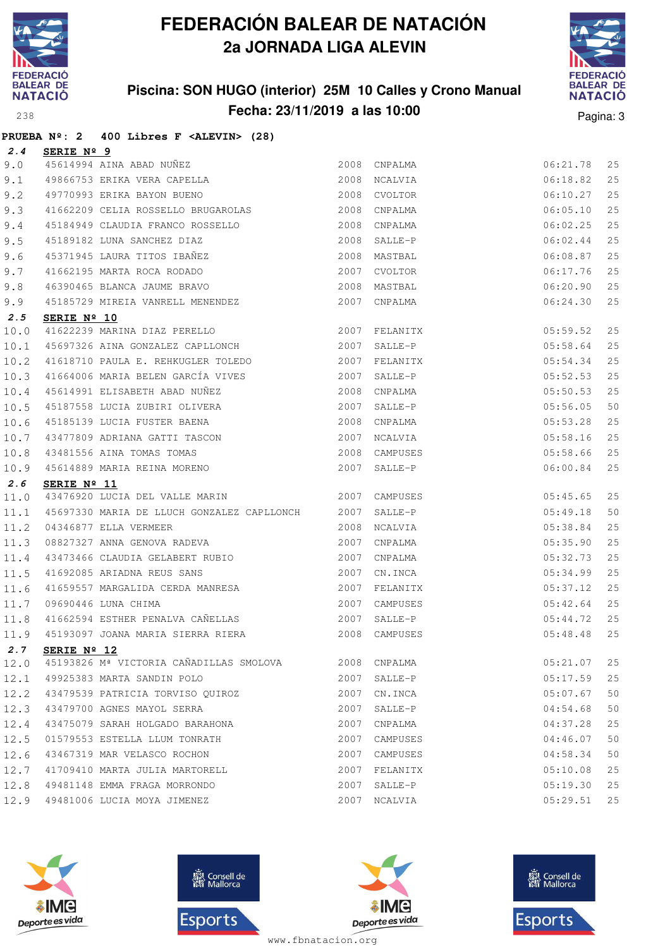

**PRUEBA Nº: 2 400 Libres F <ALEVIN> (28)**

## **FEDERACIÓN BALEAR DE NATACIÓN 2a JORNADA LIGA ALEVIN**

### **Piscina: SON HUGO (interior) 25M 10 Calles y Crono Manual Fecha: 23/11/2019 a las 10:00** Pagina: 3



| 2.4  | SERIE Nº 9                                                                                                                                                                                                                                              |      |                |          |    |
|------|---------------------------------------------------------------------------------------------------------------------------------------------------------------------------------------------------------------------------------------------------------|------|----------------|----------|----|
| 9.0  |                                                                                                                                                                                                                                                         |      | 2008 CNPALMA   | 06:21.78 | 25 |
| 9.1  |                                                                                                                                                                                                                                                         |      | 2008 NCALVIA   | 06:18.82 | 25 |
| 9.2  | 3ERIE Nº 9<br>45614994 AINA ABAD NUÑEZ<br>49866753 ERIKA VERA CAPELLA<br>49770993 ERIKA BAYON BUENO                                                                                                                                                     |      | 2008 CVOLTOR   | 06:10.27 | 25 |
| 9.3  | 41662209 CELIA ROSSELLO BRUGAROLAS                                                                                                                                                                                                                      | 2008 | CNPALMA        | 06:05.10 | 25 |
| 9.4  |                                                                                                                                                                                                                                                         |      | 2008 CNPALMA   | 06:02.25 | 25 |
| 9.5  | 45184949 CLAUDIA FRANCO ROSSELLO<br>45189182 LUNA SANCHEZ DIAZ<br>45371945 LAURA TITOS IBAÑEZ                                                                                                                                                           |      | 2008 SALLE-P   | 06:02.44 | 25 |
| 9.6  |                                                                                                                                                                                                                                                         | 2008 | MASTBAL        | 06:08.87 | 25 |
| 9.7  |                                                                                                                                                                                                                                                         | 2007 | CVOLTOR        | 06:17.76 | 25 |
| 9.8  |                                                                                                                                                                                                                                                         |      | 2008 MASTBAL   | 06:20.90 | 25 |
| 9.9  | 45185729 MIREIA VANRELL MENENDEZ                                                                                                                                                                                                                        |      | 2007 CNPALMA   | 06:24.30 | 25 |
| 2.5  | SERIE Nº 10                                                                                                                                                                                                                                             |      |                |          |    |
| 10.0 | 41622239 MARINA DIAZ PERELLO 2007 FELANITX                                                                                                                                                                                                              |      |                | 05:59.52 | 25 |
| 10.1 | 45697326 AINA GONZALEZ CAPLLONCH                                                                                                                                                                                                                        |      | 2007 SALLE-P   | 05:58.64 | 25 |
| 10.2 | 41618710 PAULA E. REHKUGLER TOLEDO                                                                                                                                                                                                                      |      | 2007 FELANITX  | 05:54.34 | 25 |
| 10.3 | 41664006 MARIA BELEN GARCÍA VIVES                                                                                                                                                                                                                       |      | 2007 SALLE-P   | 05:52.53 | 25 |
| 10.4 | 45614991 ELISABETH ABAD NUÑEZ                                                                                                                                                                                                                           | 2008 | CNPALMA        | 05:50.53 | 25 |
| 10.5 | 45187558 LUCIA ZUBIRI OLIVERA<br>45185139 LUCIA FUSTER BAENA                                                                                                                                                                                            | 2007 | SALLE-P        | 05:56.05 | 50 |
| 10.6 |                                                                                                                                                                                                                                                         | 2008 | CNPALMA        | 05:53.28 | 25 |
| 10.7 | 43477809 ADRIANA GATTI TASCON<br>43481556 AINA TOMAS TOMAS<br>45614889 MARIA REINA MORENO                                                                                                                                                               | 2007 | <b>NCALVIA</b> | 05:58.16 | 25 |
| 10.8 |                                                                                                                                                                                                                                                         | 2008 | CAMPUSES       | 05:58.66 | 25 |
| 10.9 |                                                                                                                                                                                                                                                         |      | 2007 SALLE-P   | 06:00.84 | 25 |
| 2.6  | SERIE Nº 11                                                                                                                                                                                                                                             |      |                |          |    |
| 11.0 |                                                                                                                                                                                                                                                         |      |                | 05:45.65 | 25 |
| 11.1 | 45697330 MARIA DE LLUCH GONZALEZ CAPLLONCH 2007                                                                                                                                                                                                         |      | SALLE-P        | 05:49.18 | 50 |
| 11.2 | 04346877 ELLA VERMEER<br>08827327 ANNA GENOVA RADEVA                                                                                                                                                                                                    | 2008 | NCALVIA        | 05:38.84 | 25 |
| 11.3 |                                                                                                                                                                                                                                                         | 2007 | CNPALMA        | 05:35.90 | 25 |
| 11.4 |                                                                                                                                                                                                                                                         | 2007 | CNPALMA        | 05:32.73 | 25 |
| 11.5 | 43473466 CLAUDIA GELABERT RUBIO<br>41692085 ARIADNA REUS SANS                                                                                                                                                                                           | 2007 | CN.INCA        | 05:34.99 | 25 |
| 11.6 | 41659557 MARGALIDA CERDA MANRESA                                                                                                                                                                                                                        | 2007 | FELANITX       | 05:37.12 | 25 |
| 11.7 | ere en de la provincia de la provincia de la provincia de la provincia de la provincia de la provincia de la p<br>En 1930, en 1930, en 1930, en 1930, en 1930, en 1930, en 1930, en 1930, en 1930, en 1930, en 1930, en 1930, en<br>09690446 LUNA CHIMA |      | 2007 CAMPUSES  | 05:42.64 | 25 |
| 11.8 |                                                                                                                                                                                                                                                         |      |                | 05:44.72 | 25 |
| 11.9 | 45193097 JOANA MARIA SIERRA RIERA                                                                                                                                                                                                                       |      | 2008 CAMPUSES  | 05:48.48 | 25 |
|      | 2.7 SERIE Nº 12                                                                                                                                                                                                                                         |      |                |          |    |
| 12.0 | 45193826 Mª VICTORIA CAÑADILLAS SMOLOVA 2008 CNPALMA                                                                                                                                                                                                    |      |                | 05:21.07 | 25 |
| 12.1 | 49925383 MARTA SANDIN POLO                                                                                                                                                                                                                              |      | 2007 SALLE-P   | 05:17.59 | 25 |
| 12.2 | 43479539 PATRICIA TORVISO QUIROZ                                                                                                                                                                                                                        |      | 2007 CN.INCA   | 05:07.67 | 50 |
| 12.3 | 43479700 AGNES MAYOL SERRA                                                                                                                                                                                                                              | 2007 | SALLE-P        | 04:54.68 | 50 |
| 12.4 | 43475079 SARAH HOLGADO BARAHONA                                                                                                                                                                                                                         | 2007 | CNPALMA        | 04:37.28 | 25 |
| 12.5 | 01579553 ESTELLA LLUM TONRATH                                                                                                                                                                                                                           | 2007 | CAMPUSES       | 04:46.07 | 50 |
| 12.6 | 43467319 MAR VELASCO ROCHON                                                                                                                                                                                                                             | 2007 | CAMPUSES       | 04:58.34 | 50 |
|      |                                                                                                                                                                                                                                                         |      | 2007 FELANITX  |          | 25 |
| 12.7 | 41709410 MARTA JULIA MARTORELL                                                                                                                                                                                                                          |      |                | 05:10.08 |    |
| 12.8 | 49481148 EMMA FRAGA MORRONDO                                                                                                                                                                                                                            |      | 2007 SALLE-P   | 05:19.30 | 25 |







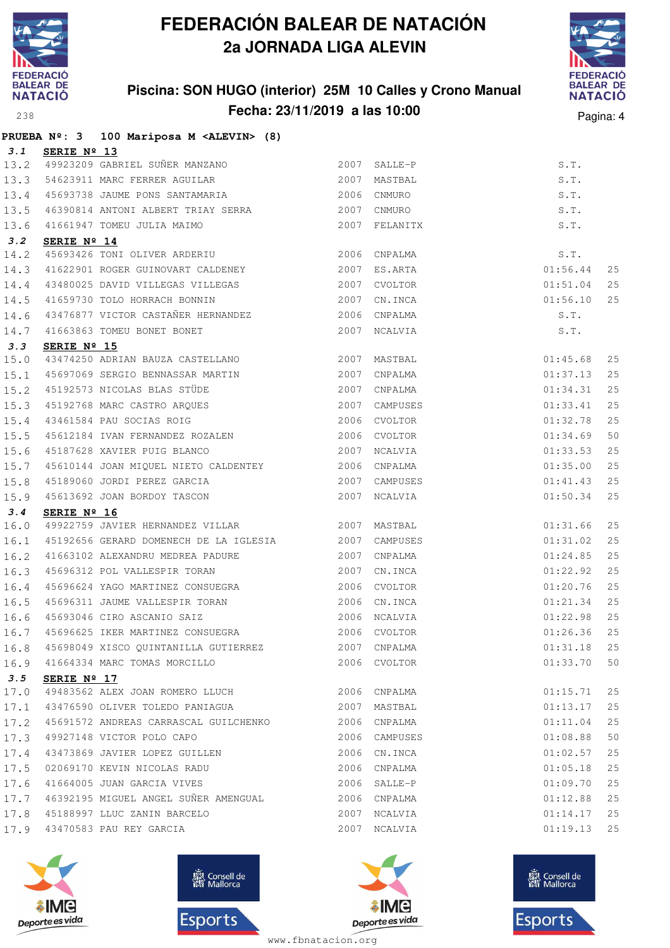

## **Piscina: SON HUGO (interior) 25M 10 Calles y Crono Manual Fecha: 23/11/2019 a las 10:00** Pagina: 4



|             |                      | PRUEBA Nº: 3 100 Mariposa M <alevin> (8)</alevin>                                                                                                      |              |               |               |      |
|-------------|----------------------|--------------------------------------------------------------------------------------------------------------------------------------------------------|--------------|---------------|---------------|------|
| 3.1         | SERIE Nº 13          |                                                                                                                                                        |              |               |               |      |
|             |                      | 13.2 49923209 GABRIEL SUÑER MANZANO 2007 SALLE-P                                                                                                       |              |               | S.T.          |      |
|             |                      | 13.3 54623911 MARC FERRER AGUILAR 2007 MASTBAL                                                                                                         |              |               | S.T.          |      |
|             |                      | 13.4 45693738 JAUME PONS SANTAMARIA 2006 CNMURO                                                                                                        |              |               | S.T.          |      |
| 13.5        |                      |                                                                                                                                                        |              |               | S.T.          |      |
|             |                      | 2007 FELANITX<br>13.6 41661947 TOMEU JULIA MAIMO                                                                                                       |              |               | S.T.          |      |
| 3.2         | SERIE $N^{\circ}$ 14 |                                                                                                                                                        |              |               |               |      |
| 14.2        |                      | 45693426 TONI OLIVER ARDERIU <a>&gt;</a> 2006 2006 CNPALMA                                                                                             |              |               | S.T.          |      |
|             |                      | 14.3 41622901 ROGER GUINOVART CALDENEY 2007 ES.ARTA                                                                                                    |              |               | 01:56.44      | 25   |
|             |                      | 14.4 43480025 DAVID VILLEGAS VILLEGAS 2007 CVOLTOR<br>14.5 41659730 TOLO HORRACH BONNIN 2007 CN.INCA                                                   |              |               | 01:51.04      | 25   |
|             |                      |                                                                                                                                                        |              |               | 01:56.10      | 25   |
|             |                      | 11.5<br>14.6 43476877 VICTOR CASTAÑER HERNANDEZ 2006 CNPALMA<br>14.7 41663863 TOMEU BONET BONET 2007 NCALVIA                                           |              |               | S.T.          |      |
|             |                      |                                                                                                                                                        |              |               | S.T.          |      |
| 3.3         | SERIE Nº 15          |                                                                                                                                                        |              |               |               |      |
| 15.0        |                      | 43474250 ADRIAN BAUZA CASTELLANO 2007 MASTBAL                                                                                                          |              | 01:45.68      |               | 25   |
| 15.1        |                      | 45697069 SERGIO BENNASSAR MARTIN 2007 CNPALMA                                                                                                          |              |               | 01:37.13      | 25   |
|             |                      |                                                                                                                                                        |              |               | 01:34.31      | 25   |
|             |                      | 15.2 45192573 NICOLAS BLAS STÜDE 2007 CNPALMA<br>15.3 45192768 MARC CASTRO ARQUES 2007 CAMPUSES<br>15.4 43461584 PAU SOCIAS ROIG 2006 CVOLTOR          |              |               | 01:33.41      | 25   |
|             |                      |                                                                                                                                                        |              |               | 01:32.78      | 25   |
| 15.5        |                      | 45612184 IVAN FERNANDEZ ROZALEN 2006 CVOLTOR                                                                                                           |              |               | 01:34.69      | 50   |
| 15.6        |                      | 45187628 XAVIER PUIG BLANCO 2007                                                                                                                       |              | NCALVIA       | 01:33.53      | 25   |
|             |                      | 15.7 45610144 JOAN MIQUEL NIETO CALDENTEY 2006 CNPALMA                                                                                                 |              |               | 01:35.00      | 25   |
| 15.8        |                      | 45189060 JORDI PEREZ GARCIA<br>45613603 JORDI PEREZ GARCIA (2007 CAMPUSES)                                                                             |              |               | 01:41.43      | 25   |
|             |                      | 15.9 45613692 JOAN BORDOY TASCON 2007                                                                                                                  |              | NCALVIA       | 01:50.34      | 25   |
| 3.4<br>16.0 | SERIE Nº 16          | 49922759 JAVIER HERNANDEZ VILLAR 2007 MASTBAL                                                                                                          |              |               | 01:31.66      | 25   |
| 16.1        |                      | 45192656 GERARD DOMENECH DE LA IGLESIA 2007 CAMPUSES                                                                                                   |              |               | 01:31.02      | 25   |
| 16.2        |                      | 41663102 ALEXANDRU MEDREA PADURE 2007                                                                                                                  |              | CNPALMA       | 01:24.85      | 25   |
|             |                      | 16.3 45696312 POL VALLESPIR TORAN 2007                                                                                                                 |              | CN.INCA       | 01:22.92      | 25   |
|             |                      | 16.4 45696624 YAGO MARTINEZ CONSUEGRA 2006 CVOLTOR                                                                                                     |              |               | 01:20.76      | 25   |
|             |                      | 16.5 45696311 JAUME VALLESPIR TORAN 2006 CN.INCA<br>16.6 45693046 CIRO ASCANIO SAIZ 2006 NCALVIA<br>16.7 45696625 IKER MARTINEZ CONSUEGRA 2006 CVOLTOR |              |               | 01:21.34      | 25   |
|             |                      |                                                                                                                                                        |              |               | 01:22.98      | 25   |
|             |                      |                                                                                                                                                        |              |               | $01:26.36$ 25 |      |
|             |                      | 16.8 45698049 XISCO QUINTANILLA GUTIERREZ 2007 CNPALMA                                                                                                 |              |               | 01:31.18      | 25   |
|             |                      | 16.9 41664334 MARC TOMAS MORCILLO                                                                                                                      |              | 2006 CVOLTOR  | 01:33.70      | 50   |
| 3.5         | SERIE $N^{\circ}$ 17 |                                                                                                                                                        |              |               |               |      |
|             |                      | 17.0 49483562 ALEX JOAN ROMERO LLUCH 2006 CNPALMA                                                                                                      |              |               | 01:15.71      | 25   |
| 17.1        |                      |                                                                                                                                                        |              |               | 01:13.17      | 25   |
| 17.2        |                      | 45691572 ANDREAS CARRASCAL GUILCHENKO 2006 CNPALMA                                                                                                     |              |               | 01:11.04      | 25   |
| 17.3        |                      | 49927148 VICTOR POLO CAPO                                                                                                                              |              | 2006 CAMPUSES | 01:08.88      | 50   |
| 17.4        |                      | 43473869 JAVIER LOPEZ GUILLEN                                                                                                                          |              | 2006 CN.INCA  | 01:02.57      | 25   |
| 17.5        |                      | 02069170 KEVIN NICOLAS RADU                                                                                                                            |              | 2006 CNPALMA  | 01:05.18      | $25$ |
|             |                      | 17.6 41664005 JUAN GARCIA VIVES                                                                                                                        |              | 2006 SALLE-P  | 01:09.70      | 25   |
|             |                      |                                                                                                                                                        |              |               | 01:12.88      | 25   |
|             |                      | 17.8 45188997 LLUC ZANIN BARCELO                                                                                                                       | 2007 NCALVIA |               | 01:14.17      | 25   |
|             |                      | 17.9 43470583 PAU REY GARCIA                                                                                                                           |              | 2007 NCALVIA  | 01:19.13      | 25   |
|             |                      |                                                                                                                                                        |              |               |               |      |







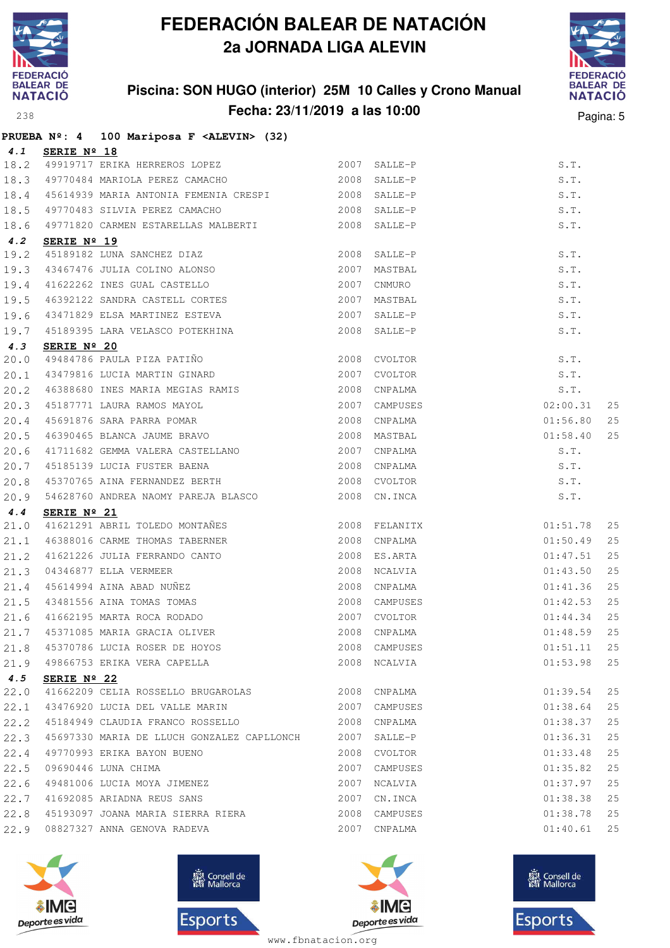

## **Piscina: SON HUGO (interior) 25M 10 Calles y Crono Manual Fecha: 23/11/2019 a las 10:00** Pagina: 5



|      |                      | PRUEBA Nº: 4 100 Mariposa F <alevin> (32)</alevin>                                                                                            |      |               |               |    |
|------|----------------------|-----------------------------------------------------------------------------------------------------------------------------------------------|------|---------------|---------------|----|
| 4.1  | <u>SERIE Nº 18</u>   |                                                                                                                                               |      |               |               |    |
|      |                      | 18.2 49919717 ERIKA HERREROS LOPEZ 2007 SALLE-P                                                                                               |      |               | S.T.          |    |
|      |                      | 18.3 49770484 MARIOLA PEREZ CAMACHO 6 2008 SALLE-P                                                                                            |      |               | S.T.          |    |
|      |                      | 18.4 45614939 MARIA ANTONIA FEMENIA CRESPI 2008 SALLE-P                                                                                       |      |               | S.T.          |    |
|      |                      | 18.5 49770483 SILVIA PEREZ CAMACHO 2008 SALLE-P                                                                                               |      |               | S.T.          |    |
|      |                      | 18.6 49771820 CARMEN ESTARELLAS MALBERTI 4000 2008 SALLE-P                                                                                    |      |               | S.T.          |    |
| 4.2  | SERIE Nº 19          |                                                                                                                                               |      |               |               |    |
|      |                      | 19.2 45189182 LUNA SANCHEZ DIAZ<br>19.3 43467476 JULIA COLINO ALONSO<br>19.4 41622262 INES GUAL CASTELLO                                      | 2008 | SALLE-P       | S.T.          |    |
|      |                      |                                                                                                                                               |      | 2007 MASTBAL  | S.T.          |    |
|      |                      |                                                                                                                                               |      | 2007 CNMURO   | S.T.          |    |
| 19.5 |                      | 46392122 SANDRA CASTELL CORTES                                                                                                                |      | 2007 MASTBAL  | S.T.          |    |
|      |                      | 19.6 43471829 ELSA MARTINEZ ESTEVA                                                                                                            |      | 2007 SALLE-P  | S.T.          |    |
|      |                      | 19.7 45189395 LARA VELASCO POTEKHINA                                                                                                          |      | 2008 SALLE-P  | S.T.          |    |
| 4.3  | SERIE Nº 20          |                                                                                                                                               |      |               |               |    |
| 20.0 |                      | 49484786 PAULA PIZA PATIÑO (2008) CVOLTOR                                                                                                     |      |               | S.T.          |    |
|      |                      | 20.1 43479816 LUCIA MARTIN GINARD 2007 CVOLTOR                                                                                                |      |               | S.T.          |    |
|      |                      | 20.2 46388680 INES MARIA MEGIAS RAMIS                                                                                                         |      | 2008 CNPALMA  | S.T.          |    |
|      |                      |                                                                                                                                               |      | 2007 CAMPUSES | 02:00.31      | 25 |
|      |                      | 20.3 45187771 LAURA RAMOS MAYOL 2007 CAMPUSES<br>20.4 45691876 SARA PARRA POMAR 2008 CNPALMA<br>20.5 46390465 BLANCA JAUME BRAVO 2008 MASTBAL |      |               | 01:56.80      | 25 |
|      |                      |                                                                                                                                               |      |               | 01:58.40      | 25 |
|      |                      | 20.6 41711682 GEMMA VALERA CASTELLANO 2007 CNPALMA                                                                                            |      |               | S.T.          |    |
|      |                      | 20.7 45185139 LUCIA FUSTER BAENA                                                                                                              |      | 2008 CNPALMA  | S.T.          |    |
|      |                      | 20.8 45370765 AINA FERNANDEZ BERTH 2008 CVOLTOR                                                                                               |      |               | S.T.          |    |
|      |                      | 20.9 54628760 ANDREA NAOMY PAREJA BLASCO                                                                                                      |      | 2008 CN.INCA  | S.T.          |    |
| 4.4  | SERIE Nº 21          |                                                                                                                                               |      |               |               |    |
| 21.0 |                      | 41621291 ABRIL TOLEDO MONTAÑES 6 2008 FELANITX                                                                                                |      |               | 01:51.78      | 25 |
| 21.1 |                      | 46388016 CARME THOMAS TABERNER                                                                                                                |      | 2008 CNPALMA  | 01:50.49      | 25 |
|      |                      |                                                                                                                                               |      | 2008 ES.ARTA  | 01:47.51      | 25 |
|      |                      |                                                                                                                                               |      | 2008 NCALVIA  | 01:43.50      | 25 |
|      |                      |                                                                                                                                               |      | 2008 CNPALMA  | 01:41.36      | 25 |
|      |                      | 21.2 41621226 JULIA FERRANDO CANTO<br>21.3 04346877 ELLA VERMEER<br>21.4 45614994 AINA ABAD NUÑEZ<br>21.5 43481556 AINA TOMAS TOMAS           |      | 2008 CAMPUSES | 01:42.53      | 25 |
|      |                      | 21.6 41662195 MARTA ROCA RODADO                                                                                                               |      | 2007 CVOLTOR  | 01:44.34      | 25 |
|      |                      | 21.7 45371085 MARIA GRACIA OLIVER 2008 CNPALMA                                                                                                |      |               | $01:48.59$ 25 |    |
|      |                      | 21.8 45370786 LUCIA ROSER DE HOYOS                                                                                                            |      | 2008 CAMPUSES | $01:51.11$ 25 |    |
|      |                      | 21.9 49866753 ERIKA VERA CAPELLA                                                                                                              |      | 2008 NCALVIA  | 01:53.98      | 25 |
| 4.5  | SERIE $N^{\circ}$ 22 |                                                                                                                                               |      |               |               |    |
|      |                      | 22.0 41662209 CELIA ROSSELLO BRUGAROLAS 2008 CNPALMA                                                                                          |      |               | 01:39.54      | 25 |
|      |                      | 22.1 43476920 LUCIA DEL VALLE MARIN 2007 CAMPUSES                                                                                             |      |               | 01:38.64      | 25 |
|      |                      | 22.2 45184949 CLAUDIA FRANCO ROSSELLO                                                                                                         |      | 2008 CNPALMA  | 01:38.37      | 25 |
|      |                      | 22.3 45697330 MARIA DE LLUCH GONZALEZ CAPLLONCH 2007 SALLE-P                                                                                  |      |               | 01:36.31      | 25 |
|      |                      | 22.4 49770993 ERIKA BAYON BUENO                                                                                                               |      | 2008 CVOLTOR  | 01:33.48      | 25 |
|      |                      | 22.5 09690446 LUNA CHIMA                                                                                                                      |      | 2007 CAMPUSES | 01:35.82      | 25 |
|      |                      | 22.6 49481006 LUCIA MOYA JIMENEZ                                                                                                              |      | 2007 NCALVIA  | 01:37.97      | 25 |
|      |                      | 22.7 41692085 ARIADNA REUS SANS                                                                                                               |      | 2007 CN.INCA  | 01:38.38      | 25 |
|      |                      | 22.8 45193097 JOANA MARIA SIERRA RIERA 2008 CAMPUSES                                                                                          |      |               | 01:38.78      | 25 |
| 22.9 |                      | 08827327 ANNA GENOVA RADEVA 2007 CNPALMA                                                                                                      |      |               | 01:40.61 25   |    |







**感** Consell de Esports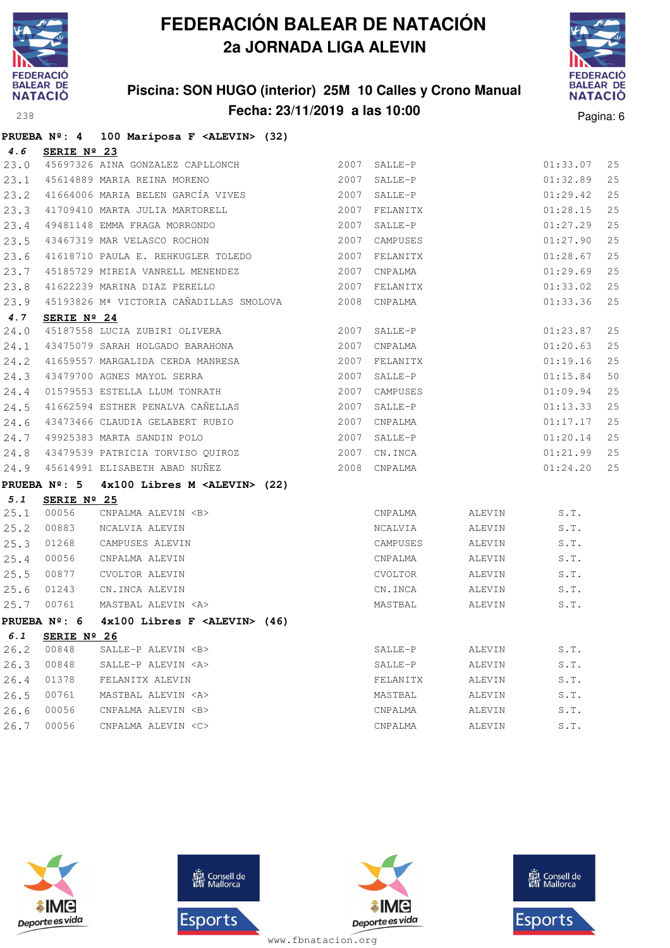

## **Piscina: SON HUGO (interior) 25M 10 Calles y Crono Manual Fecha: 23/11/2019 a las 10:00** Pagina: 6



|      |             | PRUEBA Nº: 4 100 Mariposa F <alevin> (32)</alevin>           |      |              |        |          |    |
|------|-------------|--------------------------------------------------------------|------|--------------|--------|----------|----|
| 4.6  | SERIE Nº 23 |                                                              |      |              |        |          |    |
| 23.0 |             | 45697326 AINA GONZALEZ CAPLLONCH                             |      | 2007 SALLE-P |        | 01:33.07 | 25 |
| 23.1 |             | 2007<br>45614889 MARIA REINA MORENO                          |      | SALLE-P      |        | 01:32.89 | 25 |
| 23.2 |             |                                                              |      | SALLE-P      |        | 01:29.42 | 25 |
| 23.3 |             |                                                              |      |              |        | 01:28.15 | 25 |
| 23.4 |             |                                                              |      |              |        | 01:27.29 | 25 |
| 23.5 |             | 43467319 MAR VELASCO ROCHON                                  | 2007 | CAMPUSES     |        | 01:27.90 | 25 |
| 23.6 |             | 41618710 PAULA E. REHKUGLER TOLEDO                           | 2007 | FELANITX     |        | 01:28.67 | 25 |
| 23.7 |             | 45185729 MIREIA VANRELL MENENDEZ                             | 2007 | CNPALMA      |        | 01:29.69 | 25 |
| 23.8 |             | 41622239 MARINA DIAZ PERELLO<br>2007 FELANITX                |      |              |        | 01:33.02 | 25 |
| 23.9 |             | 45193826 Mª VICTORIA CAÑADILLAS SMOLOVA 2008 CNPALMA         |      |              |        | 01:33.36 | 25 |
| 4.7  | SERIE Nº 24 |                                                              |      |              |        |          |    |
| 24.0 |             | 45187558 LUCIA ZUBIRI OLIVERA 2007                           |      | SALLE-P      |        | 01:23.87 | 25 |
| 24.1 |             | 43475079 SARAH HOLGADO BARAHONA                              |      | 2007 CNPALMA |        | 01:20.63 | 25 |
| 24.2 |             |                                                              |      |              |        | 01:19.16 | 25 |
| 24.3 |             | 43479700 AGNES MAYOL SERRA                                   | 2007 | $SALLE-P$    |        | 01:15.84 | 50 |
| 24.4 |             | 01579553 ESTELLA LLUM TONRATH                                | 2007 | CAMPUSES     |        | 01:09.94 | 25 |
| 24.5 |             | 41662594 ESTHER PENALVA CAÑELLAS                             | 2007 | $SALLE-P$    |        | 01:13.33 | 25 |
| 24.6 |             | 43473466 CLAUDIA GELABERT RUBIO                              | 2007 | CNPALMA      |        | 01:17.17 | 25 |
| 24.7 |             | 2007<br>49925383 MARTA SANDIN POLO                           |      | SALLE-P      |        | 01:20.14 | 25 |
|      |             | 24.8 43479539 PATRICIA TORVISO QUIROZ 2007 CN.INCA           |      |              |        | 01:21.99 | 25 |
|      |             | 24.9 45614991 ELISABETH ABAD NUÑEZ                           |      | 2008 CNPALMA |        | 01:24.20 | 25 |
|      |             | PRUEBA Nº: 5 4x100 Libres M <alevin> (22)</alevin>           |      |              |        |          |    |
| 5.1  | SERIE Nº 25 |                                                              |      |              |        |          |    |
| 25.1 | 00056       | CNPALMA ALEVIN <b></b>                                       |      | CNPALMA      | ALEVIN | S.T.     |    |
| 25.2 | 00883       | NCALVIA ALEVIN                                               |      | NCALVIA      | ALEVIN | S.T.     |    |
| 25.3 | 01268       | CAMPUSES ALEVIN                                              |      | CAMPUSES     | ALEVIN | S.T.     |    |
| 25.4 | 00056       | CNPALMA ALEVIN                                               |      | CNPALMA      | ALEVIN | S.T.     |    |
| 25.5 | 00877       | CVOLTOR ALEVIN                                               |      | CVOLTOR      | ALEVIN | S.T.     |    |
| 25.6 | 01243       | CN.INCA ALEVIN                                               |      | CN.INCA      | ALEVIN | S.T.     |    |
| 25.7 | 00761       | MASTBAL ALEVIN <a></a>                                       |      | MASTBAL      | ALEVIN | S.T.     |    |
|      |             | PRUEBA $N^{\circ}$ : 6 4x100 Libres F <alevin> (46)</alevin> |      |              |        |          |    |
|      |             | 6.1 SERIE Nº 26                                              |      |              |        |          |    |
| 26.2 | 00848       | SALLE-P ALEVIN <b></b>                                       |      | SALLE-P      | ALEVIN | S.T.     |    |
| 26.3 | 00848       | SALLE-P ALEVIN <a></a>                                       |      | SALLE-P      | ALEVIN | S.T.     |    |
| 26.4 | 01378       | FELANITX ALEVIN                                              |      | FELANITX     | ALEVIN | S.T.     |    |
| 26.5 | 00761       | MASTBAL ALEVIN <a></a>                                       |      | MASTBAL      | ALEVIN | S.T.     |    |
| 26.6 | 00056       | CNPALMA ALEVIN <b></b>                                       |      | CNPALMA      | ALEVIN | S.T.     |    |
| 26.7 | 00056       | CNPALMA ALEVIN <c></c>                                       |      | CNPALMA      | ALEVIN | S.T.     |    |